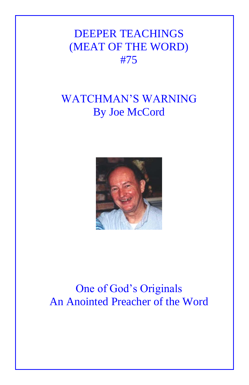## DEEPER TEACHINGS (MEAT OF THE WORD) #75

## WATCHMAN'S WARNING By Joe McCord



# One of God's Originals An Anointed Preacher of the Word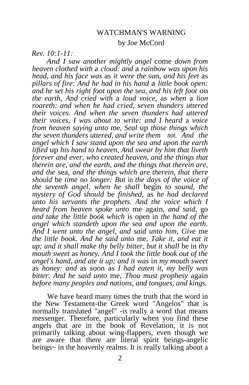### WATCHMAN'S WARNING

#### by Joe McCord

*Rev. 10:1-11:* 

*And I saw another mightly angel* come *down from heaven clothed with* a *cloud: and* a *rainbow was upon his head, and his face was* as *it were the* sun, *and his feet* as *pillars of fire: And he had in his hand* a *little book open: and he set his right foot upon the sea, and his left foot* on *the earth, And cried with* a *loud voice,* as *when* a *lion roareth: and when he had cried, seven thunders uttered their voices. And when the seven thunders had uttered their voices, I was about to write: and I heard* a *voice from heaven saying unto* me, *Seal* up *those things which the seven thunders uttered, and write them not. And the angel which I saw stand upon the sea and upon the earth lifted* up *his hand to heaven, And swear by him that liveth forever and ever, who created heaven, and the things that therein are, and the earth, and the things that therein are, and the* sea, *and the things which are therein, that there should* be *time* no *longer: But* in *the days of the voice of the seventh angel, when he shall* begin *to sound, the mystery of God should* be *finished,* as *he had declared unto his servants the prophets. And the voice which I heard from heaven spoke unto* me again, *and said,* go *and take the little book which* is open in *the hand of the angel which standeth upon the sea and upon the earth. And I went unto the angel, and said unto him, Give* me *the little book. And he said unto* me, *Take it, and eat it up; and it shall make thy belly bitter, but it shall* be in *thy mouth sweet* as *honey. And I took the little book out of the angel's hand, and ate it up; and it was* in *my mouth sweet*  as *honey: and* as soon as *I had eaten it, my belly was bitter. And he said unto* me, *Thou must prophesy* again *before many peoples and nations, and tongues, and kings.* 

We have heard many times the truth that the word in the New Testament-the Greek word "Angelos" that is normally translated "angel" -is really a word that means messenger. Therefore, particularly when you find these angels that are in the book of Revelation, it is not primarily talking about wing-flappers, even though we are aware that there are literal spirit beings-angelic beings~ in the heavenly realms. It is really talking about a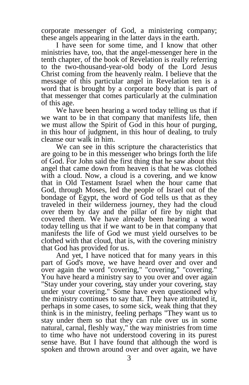corporate messenger of God, a ministering company; these angels appearing in the latter days in the earth.

I have seen for some time, and I know that other ministries have, too, that the angel-messenger here in the tenth chapter, of the book of Revelation is really referring to the two-thousand-year-old body of the Lord Jesus Christ coming from the heavenly realm. I believe that the message of this particular angel in Revelation ten is a word that is brought by a corporate body that is part of that messenger that comes particularly at the culmination of this age.

We have been hearing a word today telling us that if we want to be in that company that manifests life, then we must allow the Spirit of God in this hour of purging, in this hour of judgment, in this hour of dealing, to truly cleanse our walk in him.

We can see in this scripture the characteristics that are going to be in this messenger who brings forth the life of God. For John said the first thing that he saw about this angel that came down from heaven is that he was clothed with a cloud. Now, a cloud is a covering, and we know that in Old Testament Israel when the hour came that God, through Moses, led the people of Israel out of the bondage of Egypt, the word of God tells us that as they traveled in their wilderness journey, they had the cloud over them by day and the pillar of fire by night that covered them. We have already been hearing a word today telling us that if we want to be in that company that manifests the life of God we must yield ourselves to be clothed with that cloud, that is, with the covering ministry that God has provided for us.

And yet, I have noticed that for many years in this part of God's move, we have heard over and over and over again the word "covering," "covering," "covering." You have heard a ministry say to you over and over again "Stay under your covering, stay under your covering, stay under your covering." Some have even questioned why the ministry continues to say that. They have attributed it, perhaps in some cases, to some sick, weak thing that they think is in the ministry, feeling perhaps "They want us to stay under them so that they can rule over us in some natural, carnal, fleshly way," the way ministries from time to time who have not understood covering in its purest sense have. But I have found that although the word is spoken and thrown around over and over again, we have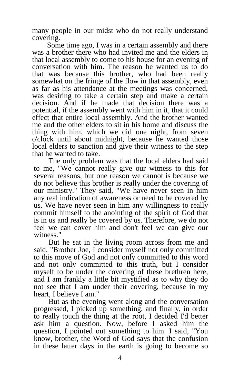many people in our midst who do not really understand covering.

Some time ago, I was in a certain assembly and there was a brother there who had invited me and the elders in that local assembly to come to his house for an evening of conversation with him. The reason he wanted us to do that was because this brother, who had been really somewhat on the fringe of the flow in that assembly, even as far as his attendance at the meetings was concerned, was desiring to take a certain step and make a certain decision. And if he made that decision there was a potential, if the assembly went with him in it, that it could effect that entire local assembly. And the brother wanted me and the other elders to sit in his home and discuss the thing with him, which we did one night, from seven o'clock until about midnight, because he wanted those local elders to sanction and give their witness to the step that he wanted to take.

The only problem was that the local elders had said to me, "We cannot really give our witness to this for several reasons, but one reason we cannot is because we do not believe this brother is really under the covering of our ministry." They said, "We have never seen in him any real indication of awareness or need to be covered by us. We have never seen in him any willingness to really commit himself to the anointing of the spirit of God that is in us and really be covered by us. Therefore, we do not feel we can cover him and don't feel we can give our witness."

But he sat in the living room across from me and said, "Brother Joe, I consider myself not only committed to this move of God and not only committed to this word and not only committed to this truth, but I consider myself to be under the covering of these brethren here, and I am frankly a little bit mystified as to why they do not see that I am under their covering, because in my heart, I believe I am."

But as the evening went along and the conversation progressed, I picked up something, and finally, in order to really touch the thing at the root, I decided I'd better ask him a question. Now, before I asked him the question, I pointed out something to him. I said, "You know, brother, the Word of God says that the confusion in these latter days in the earth is going to become so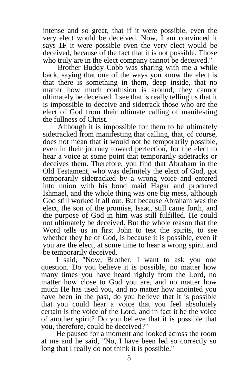intense and so great, that if it were possible, even the very elect would be deceived. Now, I am convinced it says **IF** it were possible even the very elect would be deceived, because of the fact that it is not possible. Those who truly are in the elect company cannot be deceived."

Brother Buddy Cobb was sharing with me a while back, saying that one of the ways you know the elect is that there is something in them, deep inside, that no matter how much confusion is around, they cannot ultimately be deceived. I see that is really telling us that it is impossible to deceive and sidetrack those who are the elect of God from their ultimate calling of manifesting the fullness of Christ.

Although it is impossible for them to be ultimately sidetracked from manifesting that calling, that, of course, does not mean that it would not be temporarily possible, even in their journey toward perfection, for the elect to hear a voice at some point that temporarily sidetracks or deceives them. Therefore, you find that Abraham in the Old Testament, who was definitely the elect of God, got temporarily sidetracked by a wrong voice and entered into union with his bond maid Hagar and produced Ishmael, and the whole thing was one big mess, although God still worked it all out. But because Abraham was the elect, the son of the promise, Isaac, still came forth, and the purpose of God in him was still fulfilled. He could not ultimately be deceived. But the whole reason that the Word tells us in first John to test the spirits, to see whether they be of God, is because it is possible, even if you are the elect, at some time to hear a wrong spirit and be temporarily deceived.

I said, "Now, Brother, I want to ask you one question. Do you believe it is possible, no matter how many times you have heard rightly from the Lord, no matter how close to God you are, and no matter how much He has used you, and no matter how anointed you have been in the past, do you believe that it is possible that you could hear a voice that you feel absolutely certain is the voice of the Lord, and in fact it be the voice of another spirit? Do you believe that it is possible that you, therefore, could be deceived?"

He paused for a moment and looked across the room at me and he said, "No, I have been led so correctly so long that I really do not think it is possible."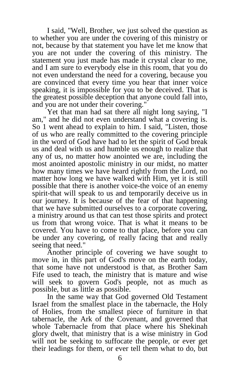I said, "Well, Brother, we just solved the question as to whether you are under the covering of this ministry or not, because by that statement you have let me know that you are not under the covering of this ministry. The statement you just made has made it crystal clear to me, and I am sure to everybody else in this room, that you do not even understand the need for a covering, because you are convinced that every time you hear that inner voice speaking, it is impossible for you to be deceived. That is the greatest possible deception that anyone could fall into, and you are not under their covering."

Yet that man had sat there all night long saying, "I am," and he did not even understand what a covering is. So 1 went ahead to explain to him. I said, "Listen, those of us who are really committed to the covering principle in the word of God have had to let the spirit of God break us and deal with us and humble us enough to realize that any of us, no matter how anointed we are, including the most anointed apostolic ministry in our midst, no matter how many times we have heard rightly from the Lord, no matter how long we have walked with Him, yet it is still possible that there is another voice-the voice of an enemy spirit-that will speak to us and temporarily deceive us in our journey. It is because of the fear of that happening that we have submitted ourselves to a corporate covering, a ministry around us that can test those spirits and protect us from that wrong voice. That is what it means to be covered. You have to come to that place, before you can be under any covering, of really facing that and really seeing that need."

Another principle of covering we have sought to move in, in this part of God's move on the earth today, that some have not understood is that, as Brother Sam Fife used to teach, the ministry that is mature and wise will seek to govern God's people, not as much as possible, but as little as possible.

In the same way that God governed Old Testament Israel from the smallest place in the tabernacle, the Holy of Holies, from the smallest piece of furniture in that tabernacle, the Ark of the Covenant, and governed that whole Tabernacle from that place where his Shekinah glory dwelt, that ministry that is a wise ministry in God will not be seeking to suffocate the people, or ever get their leadings for them, or ever tell them what to do, but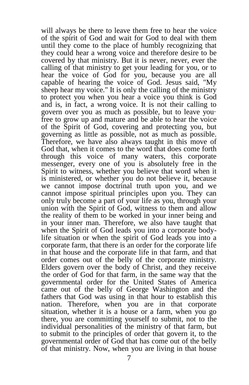will always be there to leave them free to hear the voice of the spirit of God and wait for God to deal with them until they come to the place of humbly recognizing that they could hear a wrong voice and therefore desire to be covered by that ministry. But it is never, never, ever the calling of that ministry to get your leading for you, or to hear the voice of God for you, because you are all capable of hearing the voice of God. Jesus said, "My sheep hear my voice." It is only the calling of the ministry to protect you when you hear a voice you think is God and is, in fact, a wrong voice. It is not their calling to govern over you as much as possible, but to leave you· free to grow up and mature and be able to hear the voice of the Spirit of God, covering and protecting you, but governing as little as possible, not as much as possible. Therefore, we have also always taught in this move of God that, when it comes to the word that does come forth through this voice of many waters, this corporate messenger, every one of you is absolutely free in the Spirit to witness, whether you believe that word when it is ministered, or whether you do not believe it, because we cannot impose doctrinal truth upon you, and we cannot impose spiritual principles upon you. They can only truly become a part of your life as you, through your union with the Spirit of God, witness to them and allow the reality of them to be worked in your inner being and in your inner man. Therefore, we also have taught that when the Spirit of God leads you into a corporate bodylife situation or when the spirit of God leads you into a corporate farm, that there is an order for the corporate life in that house and the corporate life in that farm, and that order comes out of the belly of the corporate ministry. Elders govern over the body of Christ, and they receive the order of God for that farm, in the same way that the governmental order for the United States of America came out of the belly of George Washington and the fathers that God was using in that hour to establish this nation. Therefore, when you are in that corporate situation, whether it is a house or a farm, when you go there, you are committing yourself to submit, not to the individual personalities of the ministry of that farm, but to submit to the principles of order that govern it, to the governmental order of God that has come out of the belly of that ministry. Now, when you are living in that house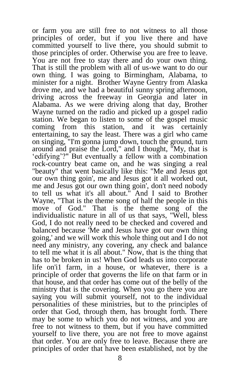or farm you are still free to not witness to all those principles of order, but if you live there and have committed yourself to live there, you should submit to those principles of order. Otherwise you are free to leave. You are not free to stay there and do your own thing. That is still the problem with all of us-we want to do our own thing. I was going to Birmingham, Alabama, to minister for a night. Brother Wayne Gentry from Alaska drove me, and we had a beautiful sunny spring afternoon, driving across the freeway in Georgia and later in Alabama. As we were driving along that day, Brother Wayne turned on the radio and picked up a gospel radio station. We began to listen to some of the gospel music coming from this station, and it was certainly entertaining, to say the least. There was a girl who came on singing, "I'm gonna jump down, touch the ground, turn around and praise the Lord," and I thought, "My, that is 'edifying'?" But eventually a fellow with a combination rock-country beat came on, and he was singing a real "beauty" that went basically like this: "Me and Jesus got our own thing goin', me and Jesus got it all worked out, me and Jesus got our own thing goin', don't need nobody to tell us what it's all about." And I said to Brother Wayne, "That is the theme song of half the people in this move of God." That is the theme song of the individualistic nature in all of us that says, "Well, bless God, I do not really need to be checked and covered and balanced because 'Me and Jesus have got our own thing going,' and we will work this whole thing out and I do not need any ministry, any covering, any check and balance to tell me what it is all about." Now, that is the thing that has to be broken in us! When God leads us into corporate life on'i1 farm, in a house, or whatever, there is a principle of order that governs the life on that farm or in that house, and that order has come out of the belly of the ministry that is the covering. When you go there you are saying you will submit yourself, not to the individual personalities of these ministries, but to the principles of order that God, through them, has brought forth. There may be some to which you do not witness, and you are free to not witness to them, but if you have committed yourself to live there, you are not free to move against that order. You are only free to leave. Because there are principles of order that have been established, not by the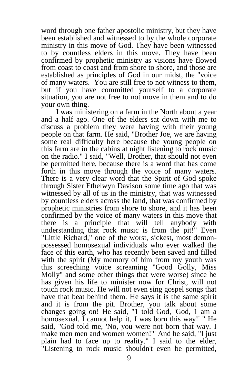word through one father apostolic ministry, but they have been established and witnessed to by the whole corporate ministry in this move of God. They have been witnessed to by countless elders in this move. They have been confirmed by prophetic ministry as visions have flowed from coast to coast and from shore to shore, and those are established as principles of God in our midst, the "voice of many waters. You are still free to not witness to them, but if you have committed yourself to a corporate situation, you are not free to not move in them and to do your own thing.

I was ministering on a farm in the North about a year and a half ago. One of the elders sat down with me to discuss a problem they were having with their young people on that farm. He said, "Brother Joe, we are having some real difficulty here because the young people on this farm are in the cabins at night listening to rock music on the radio." I said, "Well, Brother, that should not even be permitted here, because there is a word that has come forth in this move through the voice of many waters. There is a very clear word that the Spirit of God spoke through Sister Ethelwyn Davison some time ago that was witnessed by all of us in the ministry, that was witnessed by countless elders across the land, that was confirmed by prophetic ministries from shore to shore, and it has been confirmed by the voice of many waters in this move that there is a principle that will tell anybody with understanding that rock music is from the pit!" Even "Little Richard," one of the worst, sickest, most demonpossessed homosexual individuals who ever walked the face of this earth, who has recently been saved and filled with the spirit (My memory of him from my youth was this screeching voice screaming "Good Golly, Miss Molly" and some other things that were worse) since he has given his life to minister now for Christ, will not touch rock music. He will not even sing gospel songs that have that beat behind them. He says it is the same spirit and it is from the pit. Brother, you talk about some changes going on! He said, "1 told God, 'God, 1 am a homosexual. I cannot help it, I was born this way!' " He said, "God told me, 'No, you were not born that way. I make men men and women women!'" And he said, "I just plain had to face up to reality." I said to the elder, "Listening to rock music shouldn't even be permitted,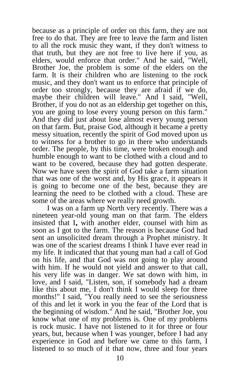because as a principle of order on this farm, they are not free to do that. They are free to leave the farm and listen to all the rock music they want, if they don't witness to that truth, but they are not free to live here if you, as elders, would enforce that order." And he said, "Well, Brother Joe, the problem is some of the elders on the farm. It is their children who are listening to the rock music, and they don't want us to enforce that principle of order too strongly, because they are afraid if we do, maybe their children will leave." And I said, "Well, Brother, if you do not as an eldership get together on this, you are going to lose every young person on this farm." And they did just about lose almost every young person on that farm. But, praise God, although it became a pretty messy situation, recently the spirit of God moved upon us to witness for a brother to go in there who understands order. The people, by this time, were broken enough and humble enough to want to be clothed with a cloud and to want to be covered, because they had gotten desperate. Now we have seen the spirit of God take a farm situation that was one of the worst and, by His grace, it appears it is going to become one of the best, because they are learning the need to be clothed with a cloud. These are some of the areas where we really need growth.

I was on a farm up North very recently. There was a nineteen year-old young man on that farm. The elders insisted that I**,** with another elder, counsel with him as soon as I got to the farm. The reason is because God had sent an unsolicited dream through a Prophet ministry. It was one of the scariest dreams I think I have ever read in my life. It indicated that that young man had a call of God on his life, and that God was not going to play around with him. If he would not yield and answer to that call, his very life was in danger. We sat down with him, in love, and I said, "Listen, son, if somebody had a dream like this about me, I don't think I would sleep for three months!" I said, "You really need to see the seriousness of this and let it work in you the fear of the Lord that is the beginning of wisdom." And he said, "Brother Joe, you know what one of my problems is. One of my problems is rock music. I have not listened to it for three or four years, but, because when I was younger, before I had any experience in God and before we came to this farm, I listened to so much of it that now, three and four years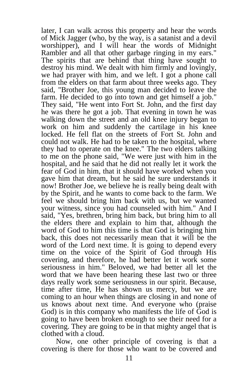later, I can walk across this property and hear the words of Mick Jagger (who, by the way, is a satanist and a devil worshipper), and I will hear the words of Midnight Rambler and all that other garbage ringing in my ears." The spirits that are behind that thing have sought to destroy his mind. We dealt with him firmly and lovingly, we had prayer with him, and we left. I got a phone call from the elders on that farm about three weeks ago. They said, "Brother Joe, this young man decided to leave the farm. He decided to go into town and get himself a job." They said, "He went into Fort St. John, and the first day he was there he got a job. That evening in town he was walking down the street and an old knee injury began to work on him and suddenly the cartilage in his knee locked. He fell flat on the streets of Fort St. John and could not walk. He had to be taken to the hospital, where they had to operate on the knee." The two elders talking to me on the phone said, "We were just with him in the hospital, and he said that he did not really let it work the fear of God in him, that it should have worked when you gave him that dream, but he said he sure understands it now! Brother Joe, we believe he is really being dealt with by the Spirit, and he wants to come back to the farm. We feel we should bring him back with us, but we wanted your witness, since you had counseled with him." And I said, "Yes, brethren, bring him back, but bring him to all the elders there and explain to him that, although the word of God to him this time is that God is bringing him back, this does not necessarily mean that it will be the word of the Lord next time. It is going to depend every time on the voice of the Spirit of God through His covering, and therefore, he had better let it work some seriousness in him." Beloved, we had better all let the word that we have been hearing these last two or three days really work some seriousness in our spirit. Because, time after time, He has shown us mercy, but we are coming to an hour when things are closing in and none of us knows about next time. And everyone who (praise God) is in this company who manifests the life of God is going to have been broken enough to see their need for a covering. They are going to be in that mighty angel that is clothed with a cloud.

Now, one other principle of covering is that a covering is there for those who want to be covered and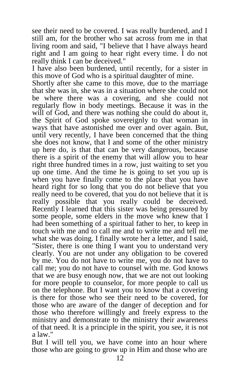see their need to be covered. I was really burdened, and I still am, for the brother who sat across from me in that living room and said, "I believe that I have always heard right and I am going to hear right every time. I do not really think I can be deceived."

I have also been burdened, until recently, for a sister in this move of God who is a spiritual daughter of mine.

Shortly after she came to this move, due to the marriage that she was in, she was in a situation where she could not be where there was a covering, and she could not regularly flow in body meetings. Because it was in the will of God, and there was nothing she could do about it, the Spirit of God spoke sovereignly to that woman in ways that have astonished me over and over again. But, until very recently, I have been concerned that the thing she does not know, that I and some of the other ministry up here do, is that that can be very dangerous, because there is a spirit of the enemy that will allow you to hear right three hundred times in a row, just waiting to set you up one time. And the time he is going to set you up is when you have finally come to the place that you have heard right for so long that you do not believe that you really need to be covered, that you do not believe that it is really possible that you really could be deceived. Recently I learned that this sister was being pressured by some people, some elders in the move who knew that I had been something of a spiritual father to her, to keep in touch with me and to call me and to write me and tell me what she was doing. I finally wrote her a letter, and I said, "Sister, there is one thing I want you to understand very clearly. You are not under any obligation to be covered by me. You do not have to write me, you do not have to call me; you do not have to counsel with me. God knows that we are busy enough now, that we are not out looking for more people to counselor, for more people to call us on the telephone. But I want you to know that a covering is there for those who see their need to be covered, for those who are aware of the danger of deception and for those who therefore willingly and freely express to the ministry and demonstrate to the ministry their awareness of that need. It is a principle in the spirit, you see, it is not a law."

But I will tell you, we have come into an hour where those who are going to grow up in Him and those who are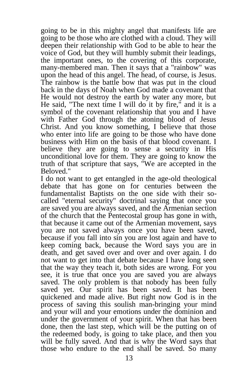going to be in this mighty angel that manifests life are going to be those who are clothed with a cloud. They will deepen their relationship with God to be able to hear the voice of God, but they will humbly submit their leadings, the important ones, to the covering of this corporate, many-membered man. Then it says that a "rainbow" was upon the head of this angel. The head, of course, is Jesus. The rainbow is the battle bow that was put in the cloud back in the days of Noah when God made a covenant that He would not destroy the earth by water any more, but He said, "The next time I will do it by fire," and it is a symbol of the covenant relationship that you and I have with Father God through the atoning blood of Jesus Christ. And you know something, I believe that those who enter into life are going to be those who have done business with Him on the basis of that blood covenant. I believe they are going to sense a security in His unconditional love for them. They are going to know the truth of that scripture that says, "We are accepted in the Beloved."

I do not want to get entangled in the age-old theological debate that has gone on for centuries between the fundamentalist Baptists on the one side with their socalled "eternal security" doctrinal saying that once you are saved you are always saved, and the Armenian section of the church that the Pentecostal group has gone in with, that because it came out of the Armenian movement, says you are not saved always once you have been saved, because if you fall into sin you are lost again and have to keep coming back, because the Word says you are in death, and get saved over and over and over again. I do not want to get into that debate because I have long seen that the way they teach it, both sides are wrong. For you see, it is true that once you are saved you are always saved. The only problem is that nobody has been fully saved yet. Our spirit has been saved. It has been quickened and made alive. But right now God is in the process of saving this soulish man-bringing your mind and your will and your emotions under the dominion and under the government of your spirit. When that has been done, then the last step, which will be the putting on of the redeemed body, is going to take place, and then you will be fully saved. And that is why the Word says that those who endure to the end shall be saved. So many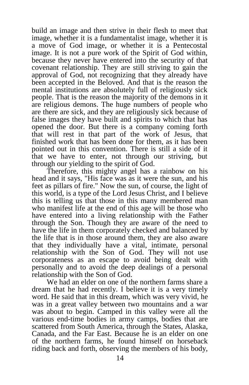build an image and then strive in their flesh to meet that image, whether it is a fundamentalist image, whether it is a move of God image, or whether it is a Pentecostal image. It is not a pure work of the Spirit of God within, because they never have entered into the security of that covenant relationship. They are still striving to gain the approval of God, not recognizing that they already have been accepted in the Beloved. And that is the reason the mental institutions are absolutely full of religiously sick people. That is the reason the majority of the demons in it are religious demons. The huge numbers of people who are there are sick, and they are religiously sick because of false images they have built and spirits to which that has opened the door. But there is a company coming forth that will rest in that part of the work of Jesus, that finished work that has been done for them, as it has been pointed out in this convention. There is still a side of it that we have to enter, not through our striving, but through our yielding to the spirit of God.

Therefore, this mighty angel has a rainbow on his head and it says, "His face was as it were the sun, and his feet as pillars of fire." Now the sun, of course, the light of this world, is a type of the Lord Jesus Christ, and I believe this is telling us that those in this many membered man who manifest life at the end of this age will be those who have entered into a living relationship with the Father through the Son. Though they are aware of the need to have the life in them corporately checked and balanced by the life that is in those around them, they are also aware that they individually have a vital, intimate, personal relationship with the Son of God. They will not use corporateness as an escape to avoid being dealt with personally and to avoid the deep dealings of a personal relationship with the Son of God.

We had an elder on one of the northern farms share a dream that he had recently. I believe it is a very timely word. He said that in this dream, which was very vivid, he was in a great valley between two mountains and a war was about to begin. Camped in this valley were all the various end-time bodies in army camps, bodies that are scattered from South America, through the States, Alaska, Canada, and the Far East. Because he is an elder on one of the northern farms, he found himself on horseback riding back and forth, observing the members of his body,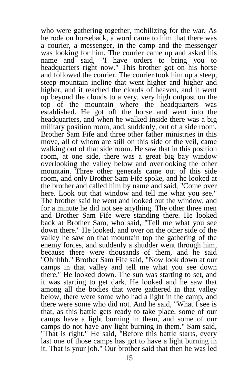who were gathering together, mobilizing for the war. As he rode on horseback, a word came to him that there was a courier, a messenger, in the camp and the messenger was looking for him. The courier came up and asked his name and said, "I have orders to bring you to headquarters right now." This brother got on his horse and followed the courier. The courier took him up a steep, steep mountain incline that went higher and higher and higher, and it reached the clouds of heaven, and it went up beyond the clouds to a very, very high outpost on the top of the mountain where the headquarters was established. He got off the horse and went into the headquarters, and when he walked inside there was a big military position room, and, suddenly, out of a side room, Brother Sam Fife and three other father ministries in this move, all of whom are still on this side of the veil, came walking out of that side room. He saw that in this position room, at one side, there was a great big bay window overlooking the valley below and overlooking the other mountain. Three other generals came out of this side room, and only Brother Sam Fife spoke, and he looked at the brother and called him by name and said, "Come over here. Look out that window and tell me what you see." The brother said he went and looked out the window, and for a minute he did not see anything. The other three men and Brother Sam Fife were standing there. He looked back at Brother Sam, who said, "Tell me what you see down there." He looked, and over on the other side of the valley he saw on that mountain top the gathering of the enemy forces, and suddenly a shudder went through him, because there were thousands of them, and he said "Ohhhhh." Brother Sam Fife said, "Now look down at our camps in that valley and tell me what you see down there." He looked down. The sun was starting to set, and it was starting to get dark. He looked and he saw that among all the bodies that were gathered in that valley below, there were some who had a light in the camp, and there were some who did not. And he said, "What I see is that, as this battle gets ready to take place, some of our camps have a light burning in them, and some of our camps do not have any light burning in them." Sam said, "That is right." He said, "Before this battle starts, every last one of those camps has got to have a light burning in it. That is your job." Our brother said that then he was led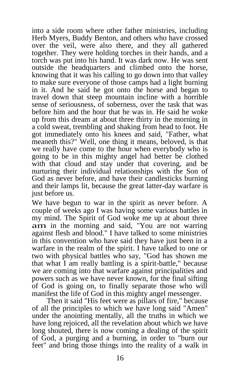into a side room where other father ministries, including Herb Myers, Buddy Benton, and others who have crossed over the veil, were also there, and they all gathered together. They were holding torches in their hands, and a torch was put into his hand. It was dark now. He was sent outside the headquarters and climbed onto the horse, knowing that it was his calling to go down into that valley to make sure everyone of those camps had a light burning in it. And he said he got onto the horse and began to travel down that steep mountain incline with a horrible sense of seriousness, of soberness, over the task that was before him and the hour that he was in. He said he woke up from this dream at about three thirty in the morning in a cold sweat, trembling and shaking from head to foot. He got immediately onto his knees and said, "Father, what meaneth this?" Well, one thing it means, beloved, is that we really have come to the hour when everybody who is going to be in this mighty angel had better be clothed with that cloud and stay under that covering, and be nurturing their individual relationships with the Son of God as never before, and have their candlesticks burning and their lamps lit, because the great latter-day warfare is just before us.

We have begun to war in the spirit as never before. A couple of weeks ago I was having some various battles in my mind. The Spirit of God woke me up at about three am in the morning and said, "You are not warring against flesh and blood." I have talked to some ministries in this convention who have said they have just been in a warfare in the realm of the spirit. I have talked to one or two with physical battles who say, "God has shown me that what I am really battling is a spirit-battle," because we are coming into that warfare against principalities and powers such as we have never known, for the final sifting of God is going on, to finally separate those who will manifest the life of God in this mighty angel messenger.

Then it said "His feet were as pillars of fire," because of all the principles to which we have long said "Amen" under the anointing mentally, all the truths in which we have long rejoiced, all the revelation about which we have long shouted, there is now coming a dealing of the spirit of God, a purging and a burning, in order to "burn our feet" and bring those things into the reality of a walk in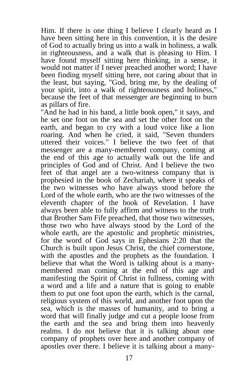Him. If there is one thing I believe I clearly heard as I have been sitting here in this convention, it is the desire of God to actually bring us into a walk in holiness, a walk in righteousness, and a walk that is pleasing to Him. I have found myself sitting here thinking, in a sense, it would not matter if I never preached another word; I have been finding myself sitting here, not caring about that in the least, but saying, "God, bring me, by the dealing of your spirit, into a walk of righteousness and holiness," because the feet of that messenger are beginning to burn as pillars of fire.

"And he had in his hand, a little book open," it says, and he set one foot on the sea and set the other foot on the earth, and began to cry with a loud voice like a lion roaring. And when he cried, it said, "Seven thunders uttered their voices." I believe the two feet of that messenger are a many-membered company, coming at the end of this age to actually walk out the life and principles of God and of Christ. And I believe the two feet of that angel are a two-witness company that is prophesied in the book of Zechariah, where it speaks of the two witnesses who have always stood before the Lord of the whole earth, who are the two witnesses of the eleventh chapter of the book of Revelation. I have always been able to fully affirm and witness to the truth that Brother Sam Fife preached, that those two witnesses, those two who have always stood by the Lord of the whole earth, are the apostolic and prophetic ministries, for the word of God says in Ephesians 2:20 that the Church is built upon Jesus Christ, the chief cornerstone, with the apostles and the prophets as the foundation. I believe that what the Word is talking about is a manymembered man coming at the end of this age and manifesting the Spirit of Christ in fullness, coming with a word and a life and a nature that is going to enable them to put one foot upon the earth, which is the carnal, religious system of this world, and another foot upon the sea, which is the masses of humanity, and to bring a word that will finally judge and cut a people loose from the earth and the sea and bring them into heavenly realms. I do not believe that it is talking about one company of prophets over here and another company of apostles over there. I believe it is talking about a many-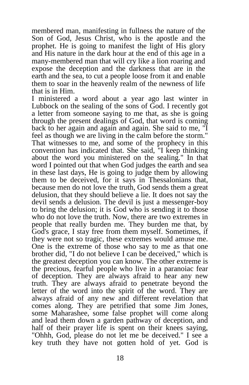membered man, manifesting in fullness the nature of the Son of God, Jesus Christ, who is the apostle and the prophet. He is going to manifest the light of His glory and His nature in the dark hour at the end of this age in a many-membered man that will cry like a lion roaring and expose the deception and the darkness that are in the earth and the sea, to cut a people loose from it and enable them to soar in the heavenly realm of the newness of life that is in Him.

I ministered a word about a year ago last winter in Lubbock on the sealing of the sons of God. I recently got a letter from someone saying to me that, as she is going through the present dealings of God, that word is coming back to her again and again and again. She said to me, "I feel as though we are living in the calm before the storm." That witnesses to me, and some of the prophecy in this convention has indicated that. She said, "I keep thinking about the word you ministered on the sealing." In that word I pointed out that when God judges the earth and sea in these last days, He is going to judge them by allowing them to be deceived, for it says in Thessalonians that, because men do not love the truth, God sends them a great delusion, that they should believe a lie. It does not say the devil sends a delusion. The devil is just a messenger-boy to bring the delusion; it is God who is sending it to those who do not love the truth. Now, there are two extremes in people that really burden me. They burden me that, by God's grace, I stay free from them myself. Sometimes, if they were not so tragic, these extremes would amuse me. One is the extreme of those who say to me as that one brother did, "I do not believe I can be deceived," which is the greatest deception you can know. The other extreme is the precious, fearful people who live in a paranoiac fear of deception. They are always afraid to hear any new truth. They are always afraid to penetrate beyond the letter of the word into the spirit of the word. They are always afraid of any new and different revelation that comes along. They are petrified that some Jim Jones, some Maharashee, some false prophet will come along and lead them down a garden pathway of deception, and half of their prayer life is spent on their knees saying, "Ohhh, God, please do not let me be deceived." I see a key truth they have not gotten hold of yet. God is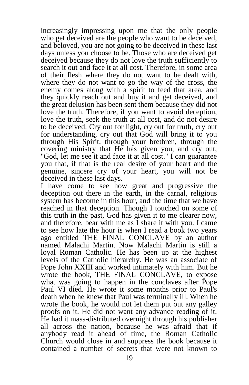increasingly impressing upon me that the only people who get deceived are the people who want to be deceived, and beloved, you are not going to be deceived in these last days unless you choose to be. Those who are deceived get deceived because they do not love the truth sufficiently to search it out and face it at all cost. Therefore, in some area of their flesh where they do not want to be dealt with, where they do not want to go the way of the cross, the enemy comes along with a spirit to feed that area, and they quickly reach out and buy it and get deceived, and the great delusion has been sent them because they did not love the truth. Therefore, if you want to avoid deception, love the truth, seek the truth at all cost, and do not desire to be deceived. Cry out for light, *cry* out for truth, cry out for understanding, cry out that God will bring it to you through His Spirit, through your brethren, through the covering ministry that He has given you, and cry out, "God, let me see it and face it at all cost." I can guarantee you that, if that is the real desire of your heart and the genuine, sincere cry of your heart, you will not be deceived in these last days.

I have come to see how great and progressive the deception out there in the earth, in the carnal, religious system has become in this hour, and the time that we have reached in that deception. Though I touched on some of this truth in the past, God has given it to me clearer now, and therefore, bear with me as I share it with you. I came to see how late the hour is when I read a book two years ago entitled THE FINAL CONCLAVE by an author named Malachi Martin. Now Malachi Martin is still a loyal Roman Catholic. He has been up at the highest levels of the Catholic hierarchy. He was an associate of Pope John XXIII and worked intimately with him. But he wrote the book, THE FINAL CONCLAVE, to expose what was going to happen in the conclaves after Pope Paul VI died. He wrote it some months prior to Paul's death when he knew that Paul was terminally ill. When he wrote the book, he would not let them put out any galley proofs on it. He did not want any advance reading of it. He had it mass-distributed overnight through his publisher all across the nation, because he was afraid that if anybody read it ahead of time, the Roman Catholic Church would close in and suppress the book because it contained a number of secrets that were not known to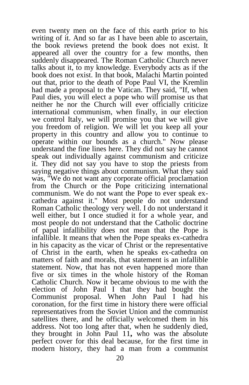even twenty men on the face of this earth prior to his writing of it. And so far as I have been able to ascertain, the book reviews pretend the book does not exist. It appeared all over the country for a few months, then suddenly disappeared. The Roman Catholic Church never talks about it, to my knowledge. Everybody acts as if the book does not exist. In that book, Malachi Martin pointed out that, prior to the death of Pope Paul VI, the Kremlin had made a proposal to the Vatican. They said, "If, when Paul dies, you will elect a pope who will promise us that neither he nor the Church will ever officially criticize international communism, when finally, in our election we control Italy, we will promise you that we will give you freedom of religion. We will let you keep all your property in this country and allow you to continue to operate within our bounds as a church." Now please understand the fine lines here. They did not say he cannot speak out individually against communism and criticize it. They did not say you have to stop the priests from saying negative things about communism. What they said was, "We do not want any corporate official proclamation from the Church or the Pope criticizing international communism. We do not want the Pope to ever speak excathedra against it." Most people do not understand Roman Catholic theology very well. I do not understand it well either, but I once studied it for a whole year, and most people do not understand that the Catholic doctrine of papal infallibility does not mean that the Pope is infallible. It means that when the Pope speaks ex-cathedra in his capacity as the vicar of Christ or the representative of Christ in the earth, when he speaks ex-cathedra on matters of faith and morals, that statement is an infallible statement. Now, that has not even happened more than five or six times in the whole history of the Roman Catholic Church. Now it became obvious to me with the election of John Paul I that they had bought the Communist proposal. When John Paul I had his coronation, for the first time in history there were official representatives from the Soviet Union and the communist satellites there, and he officially welcomed them in his address. Not too long after that, when he suddenly died, they brought in John Paul 11**,** who was the absolute perfect cover for this deal because, for the first time in modern history, they had a man from a communist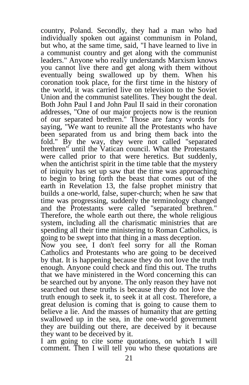country, Poland. Secondly, they had a man who had individually spoken out against communism in Poland, but who, at the same time, said, "I have learned to live in a communist country and get along with the communist leaders." Anyone who really understands Marxism knows you cannot live there and get along with them without eventually being swallowed up by them. When his coronation took place, for the first time in the history of the world, it was carried live on television to the Soviet Union and the communist satellites. They bought the deal. Both John Paul I and John Paul II said in their coronation addresses, "One of our major projects now is the reunion of our separated brethren." Those are fancy words for saying, "We want to reunite all the Protestants who have been separated from us and bring them back into the fold." By the way, they were not called "separated brethren" until the Vatican council. What the Protestants were called prior to that were heretics. But suddenly, when the antichrist spirit in the time table that the mystery of iniquity has set up saw that the time was approaching to begin to bring forth the beast that comes out of the earth in Revelation 13, the false prophet ministry that builds a one-world, false, super-church; when he saw that time was progressing, suddenly the terminology changed and the Protestants were called "separated brethren." Therefore, the whole earth out there, the whole religious system, including all the charismatic ministries that are spending all their time ministering to Roman Catholics, is going to be swept into that thing in a mass deception.

Now you see, I don't feel sorry for all the Roman Catholics and Protestants who are going to be deceived by that. It is happening because they do not love the truth enough. Anyone could check and find this out. The truths that we have ministered in the Word concerning this can be searched out by anyone. The only reason they have not searched out these truths is because they do not love the truth enough to seek it, to seek it at all cost. Therefore, a great delusion is coming that is going to cause them to believe a lie. And the masses of humanity that are getting swallowed up in the sea, in the one-world government they are building out there, are deceived by it because they want to be deceived by it.

I am going to cite some quotations, on which I will comment. Then I will tell you who these quotations are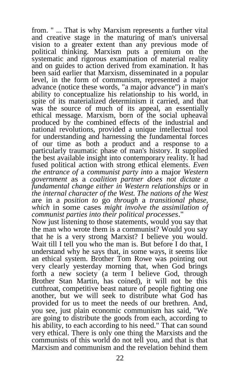from. " ... That is why Marxism represents a further vital and creative stage in the maturing of man's universal vision to a greater extent than any previous mode of political thinking. Marxism puts a premium on the systematic and rigorous examination of material reality and on guides to action derived from examination. It has been said earlier that Marxism, disseminated in a popular level, in the form of communism, represented a major advance (notice these words, "a major advance") in man's ability to conceptualize his relationship to his world, in spite of its materialized determinism it carried, and that was the source of much of its appeal, an essentially ethical message. Marxism, born of the social upheaval produced by the combined effects of the industrial and national revolutions, provided a unique intellectual tool for understanding and harnessing the fundamental forces of our time as both a product and a response to a particularly traumatic phase of man's history. It supplied the best available insight into contemporary reality. It had fused political action with strong ethical elements. *Even the entrance of* a *communist party into* a major *Western government* as a *coalition partner does not dictate a fundamental change either in Western relationships* or in *the internal character of the West. The nations of the West*  are in a *position to* go *through* a *transitional phase, which* in some cases *might involve the assimilation of communist parties into their political processes*."

Now just listening to those statements, would you say that the man who wrote them is a communist? Would you say that he is a very strong Marxist? I believe you would. Wait till I tell you who the man is. But before I do that, I understand why he says that, in some ways, it seems like an ethical system. Brother Tom Rowe was pointing out very clearly yesterday morning that, when God brings forth a new society (a term I believe God, through Brother Stan Martin, has coined), it will not be this cutthroat, competitive beast nature of people fighting one another, but we will seek to distribute what God has provided for us to meet the needs of our brethren. And, you see, just plain economic communism has said, "We are going to distribute the goods from each, according to his ability, to each according to his need." That can sound very ethical. There is only one thing the Marxists and the communists of this world do not tell you, and that is that Marxism and communism and the revelation behind them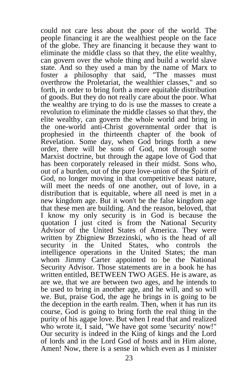could not care less about the poor of the world. The people financing it are the wealthiest people on the face of the globe. They are financing it because they want to eliminate the middle class so that they, the elite wealthy, can govern over the whole thing and build a world slave state. And so they used a man by the name of Marx to foster a philosophy that said, "The masses must overthrow the Proletariat, the wealthier classes," and so forth, in order to bring forth a more equitable distribution of goods. But they do not really care about the poor. What the wealthy are trying to do is use the masses to create a revolution to eliminate the middle classes so that they, the elite wealthy, can govern the whole world and bring in the one-world anti-Christ governmental order that is prophesied in the thirteenth chapter of the book of Revelation. Some day, when God brings forth a new order, there will be sons of God, not through some Marxist doctrine, but through the agape love of God that has been corporately released in their midst. Sons who, out of a burden, out of the pure love-union of the Spirit of God, no longer moving in that competitive beast nature, will meet the needs of one another, out of love, in a distribution that is equitable, where all need is met in a new kingdom age. But it won't be the false kingdom age that these men are building. And the reason, beloved, that I know my only security is in God is because the quotation I just cited is from the National Security Advisor of the United States of America. They were written by Zbigniew Brzezinski, who is the head of all security in the United States, who controls the intelligence operations in the United States; the man whom Jimmy Carter appointed to be the National Security Advisor. Those statements are in a book he has written entitled, BETWEEN TWO AGES. He is aware, as are we, that we are between two ages, and he intends to be used to bring in another age, and he will, and so will we. But, praise God, the age he brings in is going to be the deception in the earth realm. Then, when it has run its course, God is going to bring forth the real thing in the purity of his agape love. But when I read that and realized who wrote it, I said, "We have got some 'security' now!" Our security is indeed in the King of kings and the Lord of lords and in the Lord God of hosts and in Him alone, Amen! Now, there is a sense in which even as I minister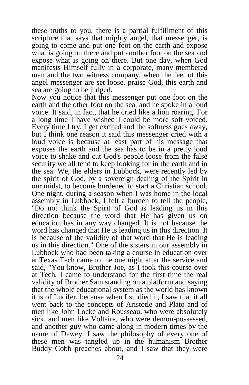these truths to you, there is a partial fulfillment of this scripture that says that mighty angel, that messenger, is going to come and put one foot on the earth and expose what is going on there and put another foot on the sea and expose what is going on there. But one day, when God manifests Himself fully in a corporate, many-membered man and the two witness company, when the feet of this angel messenger are set loose, praise God, this earth and sea are going to be judged.

Now you notice that this messenger put one foot on the earth and the other foot on the sea, and he spoke in a loud voice. It said, in fact, that he cried like a lion roaring. For a long time I have wished I could be more soft-voiced. Every time I try, I get excited and the softness goes away, but I think one reason it said this messenger cried with a loud voice is because at least part of his message that exposes the earth and the sea has to be in a pretty loud voice to shake and cut God's people loose from the false security we all tend to keep looking for in the earth and in the sea. We, the elders in Lubbock, were recently led by the spirit of God, by a sovereign dealing of the Spirit in our midst, to become burdened to start a Christian school. One night, during a season when I was home in the local assembly in Lubbock, I felt a burden to tell the people, "Do not think the Spirit of God is leading us in this direction because the word that He has given us on education has in any way changed. It is not because the word has changed that He is leading us in this direction. It is because of the validity of that word that He is leading us in this direction." One of the sisters in our assembly in Lubbock who had been taking a course in education over at Texas Tech came to me one night after the service and said, "You know, Brother Joe, as I took this course over at Tech, I came to understand for the first time the real validity of Brother Sam standing on a platform and saying that the whole educational system as the world has known it is of Lucifer, because when I studied it, I saw that it all went back to the concepts of Aristotle and Plato and of men like John Locke and Rousseau, who were absolutely sick, and men like Voltaire, who were demon-possessed, and another guy who came along in modern times by the name of Dewey. I saw the philosophy of every one of these men was tangled up in the humanism Brother Buddy Cobb preaches about, and I saw that they were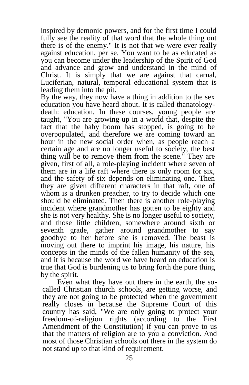inspired by demonic powers, and for the first time I could fully see the reality of that word that the whole thing out there is of the enemy." It is not that we were ever really against education, per se. You want to be as educated as you can become under the leadership of the Spirit of God and advance and grow and understand in the mind of Christ. It is simply that we are against that carnal, Luciferian, natural, temporal educational system that is leading them into the pit.

By the way, they now have a thing in addition to the sex education you have heard about. It is called thanatologydeath: education. In these courses, young people are taught, "You are growing up in a world that, despite the fact that the baby boom has stopped, is going to be overpopulated, and therefore we are coming toward an hour in the new social order when, as people reach a certain age and are no longer useful to society, the best thing will be to remove them from the scene." They are given, first of all, a role-playing incident where seven of them are in a life raft where there is only room for six, and the safety of six depends on eliminating one. Then they are given different characters in that raft, one of whom is a drunken preacher, to try to decide which one should be eliminated. Then there is another role-playing incident where grandmother has gotten to be eighty and she is not very healthy. She is no longer useful to society, and those little children, somewhere around sixth or seventh grade, gather around grandmother to say goodbye to her before she is removed. The beast is moving out there to imprint his image, his nature, his concepts in the minds of the fallen humanity of the sea, and it is because the word we have heard on education is true that God is burdening us to bring forth the pure thing by the spirit.

Even what they have out there in the earth, the socalled Christian church schools, are getting worse, and they are not going to be protected when the government really closes in because the Supreme Court of this country has said, "We are only going to protect your freedom-of-religion rights (according to the First Amendment of the Constitution) if you can prove to us that the matters of religion are to you a conviction. And most of those Christian schools out there in the system do not stand up to that kind of requirement.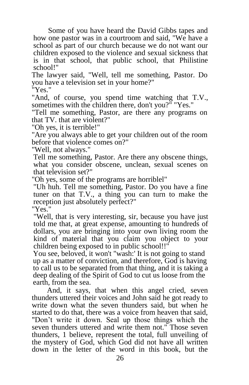Some of you have heard the David Gibbs tapes and how one pastor was in a courtroom and said, "We have a school as part of our church because we do not want our children exposed to the violence and sexual sickness that is in that school, that public school, that Philistine school!"

The lawyer said, "Well, tell me something, Pastor. Do you have a television set in your home?"

"Yes."

"And, of course, you spend time watching that T.V., sometimes with the children there, don't you?" "Yes."

"Tell me something, Pastor, are there any programs on that TV. that are violent?"

"Oh yes, it is terrible!"

"Are you always able to get your children out of the room before that violence comes on?"

"Well, not always."

Tell me something, Pastor. Are there any obscene things, what you consider obscene, unclean, sexual scenes on that television set?"

"Oh yes, some of the programs are horriblel"

"Uh huh. Tell me something, Pastor. Do you have a fine tuner on that T.V., a thing you can turn to make the reception just absolutely perfect?"

"Yes."

"Well, that is very interesting, sir, because you have just told me that, at great expense, amounting to hundreds of dollars, you are bringing into your own living room the kind of material that you claim you object to your children being exposed to in public school!!"

You see, beloved, it won't "wash:' It is not going to stand up as a matter of conviction, and therefore, God is having to call us to be separated from that thing, and it is taking a deep dealing of the Spirit of God to cut us loose from the earth, from the sea.

And, it says, that when this angel cried, seven thunders uttered their voices and John said he got ready to write down what the seven thunders said, but when he started to do that, there was a voice from heaven that said, "Don't write it down. Seal up those things which the seven thunders uttered and write them not." Those seven thunders, 1 believe, represent the total, full unveiling of the mystery of God, which God did not have all written down in the letter of the word in this book, but the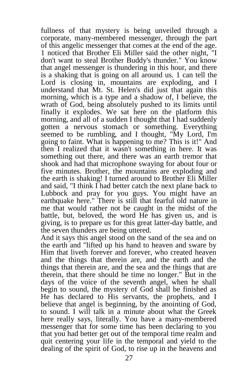fullness of that mystery is being unveiled through a corporate, many-membered messenger, through the part of this angelic messenger that comes at the end of the age. 1 noticed that Brother Eli Miller said the other night, "I don't want to steal Brother Buddy's thunder." You know that angel messenger is thundering in this hour, and there is a shaking that is going on all around us. 1 can tell the Lord is closing in, mountains are exploding, and I understand that Mt. St. Helen's did just that again this morning, which is a type and a shadow of, I believe, the wrath of God, being absolutely pushed to its limits until finally it explodes. We sat here on the platform this morning, and all of a sudden I thought that I had suddenly gotten a nervous stomach or something. Everything seemed to be rumbling, and I thought, "My Lord, I'm going to faint. What is happening to me? This is it!" And then I realized that it wasn't something in here. It was something out there, and there was an earth tremor that shook and had that microphone swaying for about four or five minutes. Brother, the mountains are exploding and the earth is shaking! I turned around to Brother Eli Miller and said, "I think I had better catch the next plane back to Lubbock and pray for you guys. You might have an earthquake here." There is still that fearful old nature in me that would rather not be caught in the midst of the battle, but, beloved, the word He has given us, and is giving, is to prepare us for this great latter-day battle, and the seven thunders are being uttered.

And it says this angel stood on the sand of the sea and on the earth and "lifted up his hand to heaven and sware by Him that liveth forever and forever, who created heaven and the things that therein are, and the earth and the things that therein are, and the sea and the things that are therein, that there should be time no longer." But in the days of the voice of the seventh angel, when he shall begin to sound, the mystery of God shall be finished as He has declared to His servants, the prophets, and I believe that angel is beginning, by the anointing of God, to sound. I will talk in a minute about what the Greek here really says, literally. You have a many-membered messenger that for some time has been declaring to you that you had better get out of the temporal time realm and quit centering your life in the temporal and yield to the dealing of the spirit of God, to rise up in the heavens and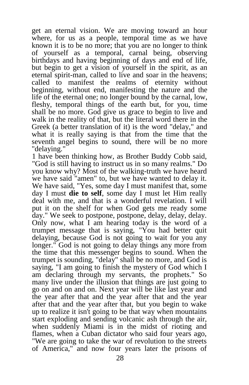get an eternal vision. We are moving toward an hour where, for us as a people, temporal time as we have known it is to be no more; that you are no longer to think of yourself as a temporal, carnal being, observing birthdays and having beginning of days and end of life, but begin to get a vision of yourself in the spirit, as an eternal spirit-man, called to live and soar in the heavens; called to manifest the realms of eternity without beginning, without end, manifesting the nature and the life of the eternal one; no longer bound by the carnal, low, fleshy, temporal things of the earth but, for you, time shall be no more. God give us grace to begin to live and walk in the reality of that, but the literal word there in the Greek (a better translation of it) is the word "delay," and what it is really saying is that from the time that the seventh angel begins to sound, there will be no more "delaying."

1 have been thinking how, as Brother Buddy Cobb said, "God is still having to instruct us in so many realms." Do you know why? Most of the walking-truth we have heard we have said "amen" to, but we have wanted to delay it. We have said, "Yes, some day I must manifest that, some day I must **die to self**, some day I must let Him really deal with me, and that is a wonderful revelation. I will put it on the shelf for when God gets me ready some day." We seek to postpone, postpone, delay, delay, delay. Only now, what I am hearing today is the word of a trumpet message that is saying, "You had better quit delaying, because God is not going to wait for you any longer." God is not going to delay things any more from the time that this messenger begins to sound. When the trumpet is sounding, "delay" shall be no more, and God is saying, "I am going to finish the mystery of God which I am declaring through my servants, the prophets." So many live under the illusion that things are just going to go on and on and on. Next year will be like last year and the year after that and the year after that and the year after that and the year after that, but you begin to wake up to realize it isn't going to be that way when mountains start exploding and sending volcanic ash through the air, when suddenly Miami is in the midst of rioting and flames, when a Cuban dictator who said four years ago, "We are going to take the war of revolution to the streets of America," and now four years later the prisons of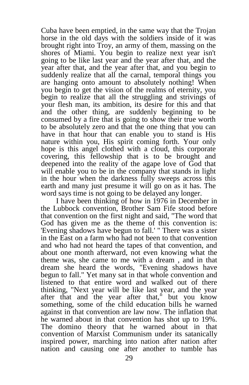Cuba have been emptied, in the same way that the Trojan horse in the old days with the soldiers inside of it was brought right into Troy, an army of them, massing on the shores of Miami. You begin to realize next year isn't going to be like last year and the year after that, and the year after that, and the year after that, and you begin to suddenly realize that all the carnal, temporal things you are hanging onto amount to absolutely nothing! When you begin to get the vision of the realms of eternity, you begin to realize that all the struggling and strivings of your flesh man, its ambition, its desire for this and that and the other thing, are suddenly beginning to be consumed by a fire that is going to show their true worth to be absolutely zero and that the one thing that you can have in that hour that can enable you to stand is His nature within you, His spirit coming forth. Your only hope is this angel clothed with a cloud, this corporate covering, this fellowship that is to be brought and deepened into the reality of the agape love of God that will enable you to be in the company that stands in light in the hour when the darkness fully sweeps across this earth and many just presume it will go on as it has. The word says time is not going to be delayed any longer.

I have been thinking of how in 1976 in December in the Lubbock convention, Brother Sam Fife stood before that convention on the first night and said, "The word that God has given me as the theme of this convention is: 'Evening shadows have begun to fall.' " There was a sister in the East on a farm who had not been to that convention and who had not heard the tapes of that convention, and about one month afterward, not even knowing what the theme was, she came to me with a dream , and in that dream she heard the words, "Evening shadows have begun to fall." Yet many sat in that whole convention and listened to that entire word and walked out of there thinking, "Next year will be like last year, and the year after that and the year after that," but you know something, some of the child education bills he warned against in that convention are law now. The inflation that he warned about in that convention has shot up to 19%. The domino theory that he warned about in that convention of Marxist Communism under its satanically inspired power, marching into nation after nation after nation and causing one after another to tumble has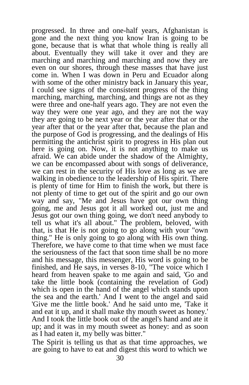progressed. In three and one-half years, Afghanistan is gone and the next thing you know Iran is going to be gone, because that is what that whole thing is really all about. Eventually they will take it over and they are marching and marching and marching and now they are even on our shores, through these masses that have just come in. When I was down in Peru and Ecuador along with some of the other ministry back in January this year, I could see signs of the consistent progress of the thing marching, marching, marching, and things are not as they were three and one-half years ago. They are not even the way they were one year ago, and they are not the way they are going to be next year or the year after that or the year after that or the year after that, because the plan and the purpose of God is progressing, and the dealings of His permitting the antichrist spirit to progress in His plan out here is going on. Now, it is not anything to make us afraid. We can abide under the shadow of the Almighty, we can be encompassed about with songs of deliverance, we can rest in the security of His love as long as we are walking in obedience to the leadership of His spirit. There is plenty of time for Him to finish the work, but there is not plenty of time to get out of the spirit and go our own way and say, "Me and Jesus have got our own thing going, me and Jesus got it all worked out, just me and Jesus got our own thing going, we don't need anybody to tell us what it's all about." The problem, beloved, with that, is that He is not going to go along with your "own thing." He is only going to go along with His own thing. Therefore, we have come to that time when we must face the seriousness of the fact that soon time shall be no more and his message, this messenger, His word is going to be finished, and He says, in verses 8-10, "The voice which I heard from heaven spake to me again and said, 'Go and take the little book (containing the revelation of God) which is open in the hand of the angel which stands upon the sea and the earth.' And I went to the angel and said 'Give me the little book.' And he said unto me, 'Take it and eat it up, and it shall make thy mouth sweet as honey.' And I took the little book out of the angel's hand and ate it up; and it was in my mouth sweet as honey: and as soon as I had eaten it, my belly was bitter."

The Spirit is telling us that as that time approaches, we are going to have to eat and digest this word to which we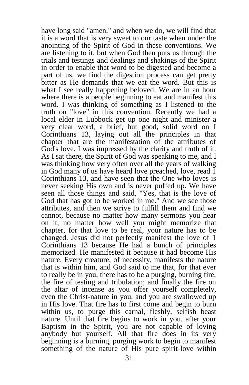have long said "amen," and when we do, we will find that it is a word that is very sweet to our taste when under the anointing of the Spirit of God in these conventions. We are listening to it, but when God then puts us through the trials and testings and dealings and shakings of the Spirit in order to enable that word to be digested and become a part of us, we find the digestion process can get pretty bitter as He demands that we eat the word. But this is what I see really happening beloved: We are in an hour where there is a people beginning to eat and manifest this word. I was thinking of something as I listened to the truth on "love" in this convention. Recently we had a local elder in Lubbock get up one night and minister a very clear word, a brief, but good, solid word on I Corinthians 13, laying out all the principles in that chapter that are the manifestation of the attributes of God's love. I was impressed by the clarity and truth of it. As I sat there, the Spirit of God was speaking to me, and I was thinking how very often over all the years of walking in God many of us have heard love preached, love, read 1 Corinthians 13, and have seen that the One who loves is never seeking His own and is never puffed up. We have seen all those things and said, "Yes, that is the love of God that has got to be worked in me." And we see those attributes, and then we strive to fulfill them and find we cannot, because no matter how many sermons you hear on it, no matter how well you might memorize that chapter, for that love to be real, your nature has to be changed. Jesus did not perfectly manifest the love of 1 Corinthians 13 because He had a bunch of principles memorized. He manifested it because it had become His nature. Every creature, of necessity, manifests the nature that is within him, and God said to me that, for that ever to really be in you, there has to be a purging, burning fire, the fire of testing and tribulation; and finally the fire on the altar of incense as you offer yourself completely, even the Christ-nature in you, and you are swallowed up in His love. That fire has to first come and begin to burn within us, to purge this carnal, fleshly, selfish beast nature. Until that fire begins to work in you, after your Baptism in the Spirit, you are not capable of loving anybody but yourself. All that fire does in its very beginning is a burning, purging work to begin to manifest something of the nature of His pure spirit-love within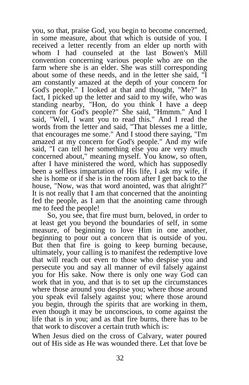you, so that, praise God, you begin to become concerned, in some measure, about that which is outside of you. I received a letter recently from an elder up north with whom I had counseled at the last Bowen's Mill convention concerning various people who are on the farm where she is an elder. She was still corresponding about some of these needs, and in the letter she said, "I am constantly amazed at the depth of your concern for God's people." I looked at that and thought, "Me?" In fact, I picked up the letter and said to my wife, who was standing nearby, "Hon, do you think I have a deep concern for God's people?" She said, "Hmmm." And I said, "Well, I want you to read this." And I read the words from the letter and said, "That blesses me a little, that encourages me some." And I stood there saying, "I'm amazed at my concern for God's people." And my wife said, "I can tell her something else you are very much concerned about," meaning myself. You know, so often, after I have ministered the word, which has supposedly been a selfless impartation of His life, I ask my wife, if she is home or if she is in the room after I get back to the house, "Now, was that word anointed, was that alright?" It is not really that I am that concerned that the anointing fed the people, as I am that the anointing came through me to feed the people!

So, you see, that fire must burn, beloved, in order to at least get you beyond the boundaries of self, in some measure, of beginning to love Him in one another, beginning to pour out a concern that is outside of you. But then that fire is going to keep burning because, ultimately, your calling is to manifest the redemptive love that will reach out even to those who despise you and persecute you and say all manner of evil falsely against you for His sake. Now there is only one way God can work that in you, and that is to set up the circumstances where those around you despise you; where those around you speak evil falsely against you; where those around you begin, through the spirits that are working in them, even though it may be unconscious, to come against the life that is in you; and as that fire burns, there has to be that work to discover a certain truth which is:

When Jesus died on the cross of Calvary, water poured out of His side as He was wounded there. Let that love be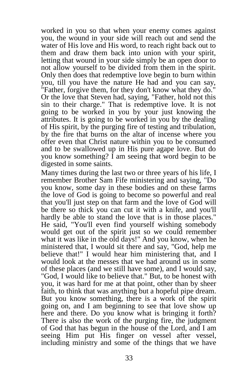worked in you so that when your enemy comes against you, the wound in your side will reach out and send the water of His love and His word, to reach right back out to them and draw them back into union with your spirit, letting that wound in your side simply be an open door to not allow yourself to be divided from them in the spirit. Only then does that redemptive love begin to burn within you, till you have the nature He had and you can say, "Father, forgive them, for they don't know what they do." Or the love that Steven had, saying, "Father, hold not this sin to their charge." That is redemptive love. It is not going to be worked in you by your just knowing the attributes. It is going to be worked in you by the dealing of His spirit, by the purging fire of testing and tribulation, by the fire that burns on the altar of incense where you offer even that Christ nature within you to be consumed and to be swallowed up in His pure agape love. But do you know something? I am seeing that word begin to be digested in some saints.

Many times during the last two or three years of his life, I remember Brother Sam Fife ministering and saying, "Do you know, some day in these bodies and on these farms the love of God is going to become so powerful and real that you'll just step on that farm and the love of God will be there so thick you can cut it with a knife, and you'll hardly be able to stand the love that is in those places." He said, "You'll even find yourself wishing somebody would get out of the spirit just so we could remember what it was like in the old days!" And you know, when he ministered that, I would sit there and say, "God, help me believe that!" I would hear him ministering that, and I would look at the messes that we had around us in some of these places (and we still have some), and I would say, "God, I would like to believe that." But, to be honest with you, it was hard for me at that point, other than by sheer faith, to think that was anything but a hopeful pipe dream. But you know something, there is a work of the spirit going on, and I am beginning to see that love show up here and there. Do you know what is bringing it forth? There is also the work of the purging fire, the judgment of God that has begun in the house of the Lord, and I am seeing Him put His finger on vessel after vessel, including ministry and some of the things that we have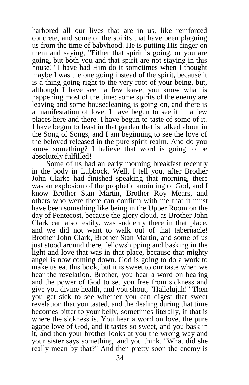harbored all our lives that are in us, like reinforced concrete, and some of the spirits that have been plaguing us from the time of babyhood. He is putting His finger on them and saying, "Either that spirit is going, or you are going, but both you and that spirit are not staying in this house!" I have had Him do it sometimes when I thought maybe I was the one going instead of the spirit, because it is a thing going right to the very root of your being, but, although I have seen a few leave, you know what is happening most of the time; some spirits of the enemy are leaving and some housecleaning is going on, and there is a manifestation of love. I have begun to see it in a few places here and there. I have begun to taste of some of it. I have begun to feast in that garden that is talked about in the Song of Songs, and I am beginning to see the love of the beloved released in the pure spirit realm. And do you know something? I believe that word is going to be absolutely fulfilled!

Some of us had an early morning breakfast recently in the body in Lubbock. Well, I tell you, after Brother John Clarke had finished speaking that morning, there was an explosion of the prophetic anointing of God, and I know Brother Stan Martin, Brother Roy Mears, and others who were there can confirm with me that it must have been something like being in the Upper Room on the day of Pentecost, because the glory cloud, as Brother John Clark can also testify, was suddenly there in that place, and we did not want to walk out of that tabernacle! Brother John Clark, Brother Stan Martin, and some of us just stood around there, fellowshipping and basking in the light and love that was in that place, because that mighty angel is now coming down. God is going to do a work to make us eat this book, but it is sweet to our taste when we hear the revelation. Brother, you hear a word on healing and the power of God to set you free from sickness and give you divine health, and you shout, "Hallelujah!" Then you get sick to see whether you can digest that sweet revelation that you tasted, and the dealing during that time becomes bitter to your belly, sometimes literally, if that is where the sickness is. You hear a word on love, the pure agape love of God, and it tastes so sweet, and you bask in it, and then your brother looks at you the wrong way and your sister says something, and you think, "What did she really mean by that?" And then pretty soon the enemy is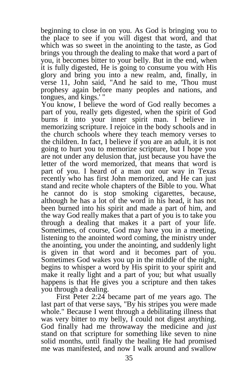beginning to close in on you. As God is bringing you to the place to see if you will digest that word, and that which was so sweet in the anointing to the taste, as God brings you through the dealing to make that word a part of you, it becomes bitter to your belly. But in the end, when it is fully digested, He is going to consume you with His glory and bring you into a new realm, and, finally, in verse 11, John said, "And he said to me, 'Thou must prophesy again before many peoples and nations, and tongues, and kings.' "

You know, I believe the word of God really becomes a part of you, really gets digested, when the spirit of God burns it into your inner spirit man. I believe in memorizing scripture. I rejoice in the body schools and in the church schools where they teach memory verses to the children. In fact, I believe if you are an adult, it is not going to hurt you to memorize scripture, but I hope you are not under any delusion that, just because you have the letter of the word memorized, that means that word is part of you. I heard of a man out our way in Texas recently who has first John memorized, and He can just stand and recite whole chapters of the Bible to you. What he cannot do is stop smoking cigarettes, because, although he has a lot of the word in his head, it has not been burned into his spirit and made a part of him, and the way God really makes that a part of you is to take you through a dealing that makes it a part of your life. Sometimes, of course, God may have you in a meeting, listening to the anointed word coming, the ministry under the anointing, you under the anointing, and suddenly light is given in that word and it becomes part of you. Sometimes God wakes you up in the middle of the night, begins to whisper a word by His spirit to your spirit and make it really light and a part of you; but what usually happens is that He gives you a scripture and then takes you through a dealing.

First Peter 2:24 became part of me years ago. The last part of that verse says, "By his stripes you were made whole." Because I went through a debilitating illness that was very bitter to my belly, I could not digest anything. God finally had me throwaway the medicine and *just*  stand on that scripture for something like seven to nine solid months, until finally the healing He had promised me was manifested, and now I walk around and swallow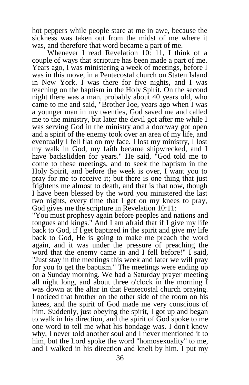hot peppers while people stare at me in awe, because the sickness was taken out from the midst of me where it was, and therefore that word became a part of me.

Whenever I read Revelation 10: 11, I think of a couple of ways that scripture has been made a part of me. Years ago, I was ministering a week of meetings, before I was in this move, in a Pentecostal church on Staten Island in New York. I was there for five nights, and I was teaching on the baptism in the Holy Spirit. On the second night there was a man, probably about 40 years old, who came to me and said, "Brother Joe, years ago when I was a younger man in my twenties, God saved me and called me to the ministry, but later the devil got after me while I was serving God in the ministry and a doorway got open and a spirit of the enemy took over an area of my life, and eventually I fell flat on my face. I lost my ministry, I lost my walk in God, my faith became shipwrecked, and I have backslidden for years." He said, "God told me to come to these meetings, and to seek the baptism in the Holy Spirit, and before the week is over, I want you to pray for me to receive it; but there is one thing that just frightens me almost to death, and that is that now, though I have been blessed by the word you ministered the last two nights, every time that I get on my knees to pray, God gives me the scripture in Revelation 10:11:

"You must prophesy again before peoples and nations and tongues and kings." And I am afraid that if I give my life back to God, if I get baptized in the spirit and give my life back to God, He is going to make me preach the word again, and it was under the pressure of preaching the word that the enemy came in and I fell before!" I said, "Just stay in the meetings this week and later we will pray for you to get the baptism." The meetings were ending up on a Sunday morning. We had a Saturday prayer meeting all night long, and about three o'clock in the morning I was down at the altar in that Pentecostal church praying. I noticed that brother on the other side of the room on his knees, and the spirit of God made me very conscious of him. Suddenly, just obeying the spirit, I got up and began to walk in his direction, and the spirit of God spoke to me one word to tell me what his bondage was. I don't know why, I never told another soul and I never mentioned it to him, but the Lord spoke the word "homosexuality" to me, and I walked in his direction and knelt by him. I put my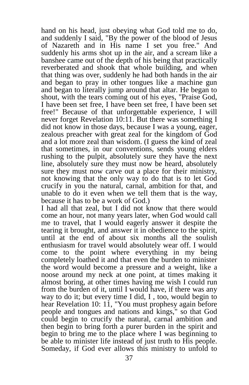hand on his head, just obeying what God told me to do, and suddenly I said, "By the power of the blood of Jesus of Nazareth and in His name I set you free." And suddenly his arms shot up in the air, and a scream like a banshee came out of the depth of his being that practically reverberated and shook that whole building, and when that thing was over, suddenly he had both hands in the air and began to pray in other tongues like a machine gun and began to literally jump around that altar. He began to shout, with the tears coming out of his eyes, "Praise God, I have been set free, I have been set free, I have been set free!" Because of that unforgettable experience, I will never forget Revelation 10:11. But there was something I did not know in those days, because I was a young, eager, zealous preacher with great zeal for the kingdom of God and a lot more zeal than wisdom. (I guess the kind of zeal that sometimes, in our conventions, sends young elders rushing to the pulpit, absolutely sure they have the next line, absolutely sure they must now be heard, absolutely sure they must now carve out a place for their ministry, not knowing that the only way to do that is to let God crucify in you the natural, carnal, ambition for that, and unable to do it even when we tell them that is the way, because it has to be a work of God.)

I had all that zeal, but I did not know that there would come an hour, not many years later, when God would call me to travel, that I would eagerly answer it despite the tearing it brought, and answer it in obedience to the spirit, until at the end of about six months all the soulish enthusiasm for travel would absolutely wear off. I would come to the point where everything in my being completely loathed it and that even the burden to minister the word would become a pressure and a weight, like a noose around my neck at one point, at times making it almost boring, at other times having me wish I could run from the burden of it, until I would have, if there was any way to do it; but every time I did, I , too, would begin to hear Revelation 10: 11, "You must prophesy again before people and tongues and nations and kings," so that God could begin to crucify the natural, carnal ambition and then begin to bring forth a purer burden in the spirit and begin to bring me to the place where I was beginning to be able to minister life instead of just truth to His people. Someday, if God ever allows this ministry to unfold to